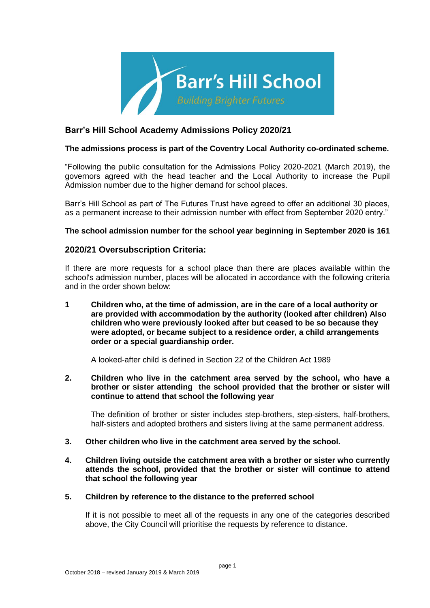

# **Barr's Hill School Academy Admissions Policy 2020/21**

### **The admissions process is part of the Coventry Local Authority co-ordinated scheme.**

"Following the public consultation for the Admissions Policy 2020-2021 (March 2019), the governors agreed with the head teacher and the Local Authority to increase the Pupil Admission number due to the higher demand for school places.

Barr's Hill School as part of The Futures Trust have agreed to offer an additional 30 places, as a permanent increase to their admission number with effect from September 2020 entry."

#### **The school admission number for the school year beginning in September 2020 is 161**

### **2020/21 Oversubscription Criteria:**

If there are more requests for a school place than there are places available within the school's admission number, places will be allocated in accordance with the following criteria and in the order shown below:

**1 Children who, at the time of admission, are in the care of a local authority or are provided with accommodation by the authority (looked after children) Also children who were previously looked after but ceased to be so because they were adopted, or became subject to a residence order, a child arrangements order or a special guardianship order.**

A looked-after child is defined in Section 22 of the Children Act 1989

**2. Children who live in the catchment area served by the school, who have a brother or sister attending the school provided that the brother or sister will continue to attend that school the following year** 

The definition of brother or sister includes step-brothers, step-sisters, half-brothers, half-sisters and adopted brothers and sisters living at the same permanent address.

- **3. Other children who live in the catchment area served by the school.**
- **4. Children living outside the catchment area with a brother or sister who currently attends the school, provided that the brother or sister will continue to attend that school the following year**

#### **5. Children by reference to the distance to the preferred school**

If it is not possible to meet all of the requests in any one of the categories described above, the City Council will prioritise the requests by reference to distance.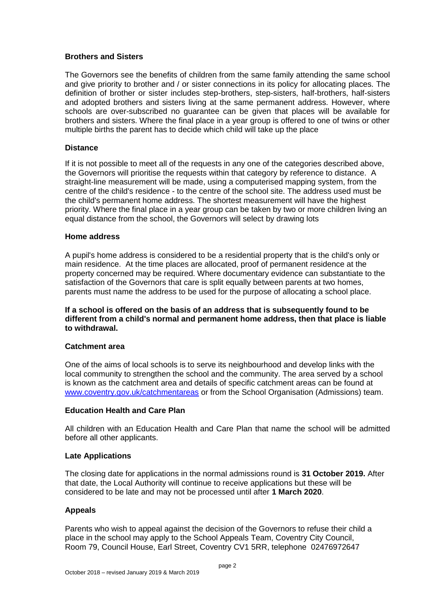### **Brothers and Sisters**

The Governors see the benefits of children from the same family attending the same school and give priority to brother and / or sister connections in its policy for allocating places. The definition of brother or sister includes step-brothers, step-sisters, half-brothers, half-sisters and adopted brothers and sisters living at the same permanent address. However, where schools are over-subscribed no guarantee can be given that places will be available for brothers and sisters. Where the final place in a year group is offered to one of twins or other multiple births the parent has to decide which child will take up the place

### **Distance**

If it is not possible to meet all of the requests in any one of the categories described above, the Governors will prioritise the requests within that category by reference to distance. A straight-line measurement will be made, using a computerised mapping system, from the centre of the child's residence - to the centre of the school site. The address used must be the child's permanent home address. The shortest measurement will have the highest priority. Where the final place in a year group can be taken by two or more children living an equal distance from the school, the Governors will select by drawing lots

#### **Home address**

A pupil's home address is considered to be a residential property that is the child's only or main residence. At the time places are allocated, proof of permanent residence at the property concerned may be required. Where documentary evidence can substantiate to the satisfaction of the Governors that care is split equally between parents at two homes, parents must name the address to be used for the purpose of allocating a school place.

**If a school is offered on the basis of an address that is subsequently found to be different from a child's normal and permanent home address, then that place is liable to withdrawal.**

#### **Catchment area**

One of the aims of local schools is to serve its neighbourhood and develop links with the local community to strengthen the school and the community. The area served by a school is known as the catchment area and details of specific catchment areas can be found at [www.coventry.gov.uk/catchmentareas](http://www.coventry.gov.uk/catchmentareas) or from the School Organisation (Admissions) team.

### **Education Health and Care Plan**

All children with an Education Health and Care Plan that name the school will be admitted before all other applicants.

#### **Late Applications**

The closing date for applications in the normal admissions round is **31 October 2019.** After that date, the Local Authority will continue to receive applications but these will be considered to be late and may not be processed until after **1 March 2020**.

#### **Appeals**

Parents who wish to appeal against the decision of the Governors to refuse their child a place in the school may apply to the School Appeals Team, Coventry City Council, Room 79, Council House, Earl Street, Coventry CV1 5RR, telephone 02476972647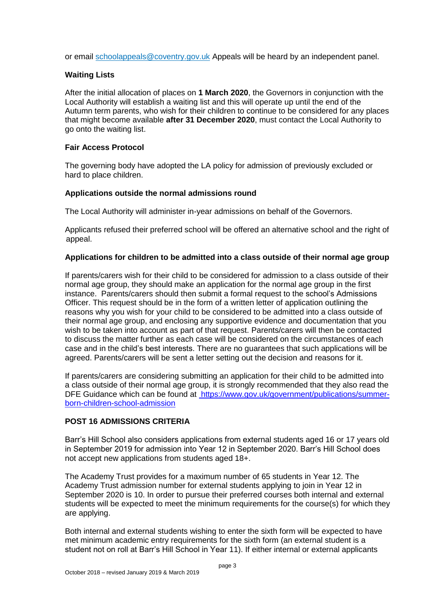or email [schoolappeals@coventry.gov.uk](mailto:schoolappeals%40coventry.gov.uk) Appeals will be heard by an independent panel.

### **Waiting Lists**

After the initial allocation of places on **1 March 2020**, the Governors in conjunction with the Local Authority will establish a waiting list and this will operate up until the end of the Autumn term parents, who wish for their children to continue to be considered for any places that might become available **after 31 December 2020**, must contact the Local Authority to go onto the waiting list.

### **Fair Access Protocol**

The governing body have adopted the LA policy for admission of previously excluded or hard to place children.

### **Applications outside the normal admissions round**

The Local Authority will administer in-year admissions on behalf of the Governors.

Applicants refused their preferred school will be offered an alternative school and the right of appeal.

### **Applications for children to be admitted into a class outside of their normal age group**

If parents/carers wish for their child to be considered for admission to a class outside of their normal age group, they should make an application for the normal age group in the first instance. Parents/carers should then submit a formal request to the school's Admissions Officer. This request should be in the form of a written letter of application outlining the reasons why you wish for your child to be considered to be admitted into a class outside of their normal age group, and enclosing any supportive evidence and documentation that you wish to be taken into account as part of that request. Parents/carers will then be contacted to discuss the matter further as each case will be considered on the circumstances of each case and in the child's best interests. There are no guarantees that such applications will be agreed. Parents/carers will be sent a letter setting out the decision and reasons for it.

If parents/carers are considering submitting an application for their child to be admitted into a class outside of their normal age group, it is strongly recommended that they also read the DFE Guidance which can be found at [https://www.gov.uk/government/publications/summer](https://www.gov.uk/government/publications/summer-born-children-school-admission)[born-children-school-admission](https://www.gov.uk/government/publications/summer-born-children-school-admission)

#### **POST 16 ADMISSIONS CRITERIA**

Barr's Hill School also considers applications from external students aged 16 or 17 years old in September 2019 for admission into Year 12 in September 2020. Barr's Hill School does not accept new applications from students aged 18+.

The Academy Trust provides for a maximum number of 65 students in Year 12. The Academy Trust admission number for external students applying to join in Year 12 in September 2020 is 10. In order to pursue their preferred courses both internal and external students will be expected to meet the minimum requirements for the course(s) for which they are applying.

Both internal and external students wishing to enter the sixth form will be expected to have met minimum academic entry requirements for the sixth form (an external student is a student not on roll at Barr's Hill School in Year 11). If either internal or external applicants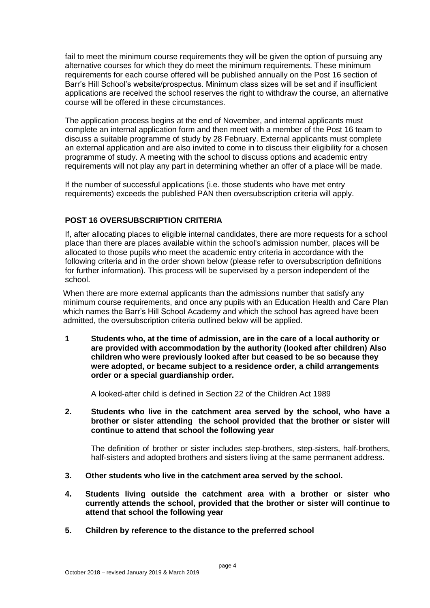fail to meet the minimum course requirements they will be given the option of pursuing any alternative courses for which they do meet the minimum requirements. These minimum requirements for each course offered will be published annually on the Post 16 section of Barr's Hill School's website/prospectus. Minimum class sizes will be set and if insufficient applications are received the school reserves the right to withdraw the course, an alternative course will be offered in these circumstances.

The application process begins at the end of November, and internal applicants must complete an internal application form and then meet with a member of the Post 16 team to discuss a suitable programme of study by 28 February. External applicants must complete an external application and are also invited to come in to discuss their eligibility for a chosen programme of study. A meeting with the school to discuss options and academic entry requirements will not play any part in determining whether an offer of a place will be made.

If the number of successful applications (i.e. those students who have met entry requirements) exceeds the published PAN then oversubscription criteria will apply.

## **POST 16 OVERSUBSCRIPTION CRITERIA**

If, after allocating places to eligible internal candidates, there are more requests for a school place than there are places available within the school's admission number, places will be allocated to those pupils who meet the academic entry criteria in accordance with the following criteria and in the order shown below (please refer to oversubscription definitions for further information). This process will be supervised by a person independent of the school.

When there are more external applicants than the admissions number that satisfy any minimum course requirements, and once any pupils with an Education Health and Care Plan which names the Barr's Hill School Academy and which the school has agreed have been admitted, the oversubscription criteria outlined below will be applied.

**1 Students who, at the time of admission, are in the care of a local authority or are provided with accommodation by the authority (looked after children) Also children who were previously looked after but ceased to be so because they were adopted, or became subject to a residence order, a child arrangements order or a special guardianship order.**

A looked-after child is defined in Section 22 of the Children Act 1989

**2. Students who live in the catchment area served by the school, who have a brother or sister attending the school provided that the brother or sister will continue to attend that school the following year** 

The definition of brother or sister includes step-brothers, step-sisters, half-brothers, half-sisters and adopted brothers and sisters living at the same permanent address.

- **3. Other students who live in the catchment area served by the school.**
- **4. Students living outside the catchment area with a brother or sister who currently attends the school, provided that the brother or sister will continue to attend that school the following year**
- **5. Children by reference to the distance to the preferred school**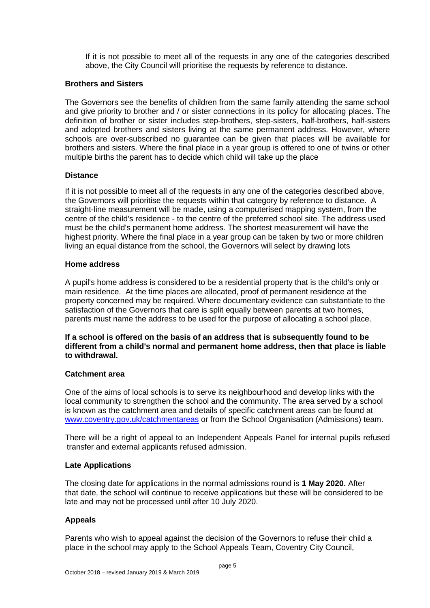If it is not possible to meet all of the requests in any one of the categories described above, the City Council will prioritise the requests by reference to distance.

### **Brothers and Sisters**

The Governors see the benefits of children from the same family attending the same school and give priority to brother and / or sister connections in its policy for allocating places. The definition of brother or sister includes step-brothers, step-sisters, half-brothers, half-sisters and adopted brothers and sisters living at the same permanent address. However, where schools are over-subscribed no guarantee can be given that places will be available for brothers and sisters. Where the final place in a year group is offered to one of twins or other multiple births the parent has to decide which child will take up the place

### **Distance**

If it is not possible to meet all of the requests in any one of the categories described above, the Governors will prioritise the requests within that category by reference to distance. A straight-line measurement will be made, using a computerised mapping system, from the centre of the child's residence - to the centre of the preferred school site. The address used must be the child's permanent home address. The shortest measurement will have the highest priority. Where the final place in a year group can be taken by two or more children living an equal distance from the school, the Governors will select by drawing lots

### **Home address**

A pupil's home address is considered to be a residential property that is the child's only or main residence. At the time places are allocated, proof of permanent residence at the property concerned may be required. Where documentary evidence can substantiate to the satisfaction of the Governors that care is split equally between parents at two homes, parents must name the address to be used for the purpose of allocating a school place.

#### **If a school is offered on the basis of an address that is subsequently found to be different from a child's normal and permanent home address, then that place is liable to withdrawal.**

### **Catchment area**

One of the aims of local schools is to serve its neighbourhood and develop links with the local community to strengthen the school and the community. The area served by a school is known as the catchment area and details of specific catchment areas can be found at [www.coventry.gov.uk/catchmentareas](http://www.coventry.gov.uk/catchmentareas) or from the School Organisation (Admissions) team.

There will be a right of appeal to an Independent Appeals Panel for internal pupils refused transfer and external applicants refused admission.

### **Late Applications**

The closing date for applications in the normal admissions round is **1 May 2020.** After that date, the school will continue to receive applications but these will be considered to be late and may not be processed until after 10 July 2020.

### **Appeals**

Parents who wish to appeal against the decision of the Governors to refuse their child a place in the school may apply to the School Appeals Team, Coventry City Council,